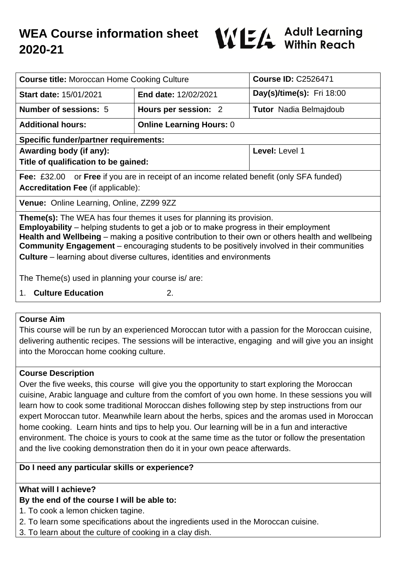

| <b>Course title: Moroccan Home Cooking Culture</b>                                                                                                                                                                                                                                                                                                                                                                                                                      |                                 | <b>Course ID: C2526471</b>       |
|-------------------------------------------------------------------------------------------------------------------------------------------------------------------------------------------------------------------------------------------------------------------------------------------------------------------------------------------------------------------------------------------------------------------------------------------------------------------------|---------------------------------|----------------------------------|
| <b>Start date: 15/01/2021</b>                                                                                                                                                                                                                                                                                                                                                                                                                                           | <b>End date: 12/02/2021</b>     | <b>Day(s)/time(s):</b> Fri 18:00 |
| Number of sessions: 5                                                                                                                                                                                                                                                                                                                                                                                                                                                   | Hours per session: 2            | <b>Tutor</b> Nadia Belmajdoub    |
| <b>Additional hours:</b>                                                                                                                                                                                                                                                                                                                                                                                                                                                | <b>Online Learning Hours: 0</b> |                                  |
| <b>Specific funder/partner requirements:</b>                                                                                                                                                                                                                                                                                                                                                                                                                            |                                 |                                  |
| Awarding body (if any):                                                                                                                                                                                                                                                                                                                                                                                                                                                 |                                 | Level: Level 1                   |
| Title of qualification to be gained:                                                                                                                                                                                                                                                                                                                                                                                                                                    |                                 |                                  |
| Fee: £32.00 or Free if you are in receipt of an income related benefit (only SFA funded)<br><b>Accreditation Fee (if applicable):</b>                                                                                                                                                                                                                                                                                                                                   |                                 |                                  |
| <b>Venue:</b> Online Learning, Online, ZZ99 9ZZ                                                                                                                                                                                                                                                                                                                                                                                                                         |                                 |                                  |
| <b>Theme(s):</b> The WEA has four themes it uses for planning its provision.<br><b>Employability</b> – helping students to get a job or to make progress in their employment<br>Health and Wellbeing – making a positive contribution to their own or others health and wellbeing<br><b>Community Engagement</b> – encouraging students to be positively involved in their communities<br><b>Culture</b> – learning about diverse cultures, identities and environments |                                 |                                  |
| The Theme(s) used in planning your course is/ are:                                                                                                                                                                                                                                                                                                                                                                                                                      |                                 |                                  |
| <b>Culture Education</b><br>1.                                                                                                                                                                                                                                                                                                                                                                                                                                          | 2.                              |                                  |

#### **Course Aim**

This course will be run by an experienced Moroccan tutor with a passion for the Moroccan cuisine, delivering authentic recipes. The sessions will be interactive, engaging and will give you an insight into the Moroccan home cooking culture.

#### **Course Description**

Over the five weeks, this course will give you the opportunity to start exploring the Moroccan cuisine, Arabic language and culture from the comfort of you own home. In these sessions you will learn how to cook some traditional Moroccan dishes following step by step instructions from our expert Moroccan tutor. Meanwhile learn about the herbs, spices and the aromas used in Moroccan home cooking. Learn hints and tips to help you. Our learning will be in a fun and interactive environment. The choice is yours to cook at the same time as the tutor or follow the presentation and the live cooking demonstration then do it in your own peace afterwards.

#### **Do I need any particular skills or experience?**

### **What will I achieve?**

#### **By the end of the course I will be able to:**

- 1. To cook a lemon chicken tagine.
- 2. To learn some specifications about the ingredients used in the Moroccan cuisine.
- 3. To learn about the culture of cooking in a clay dish.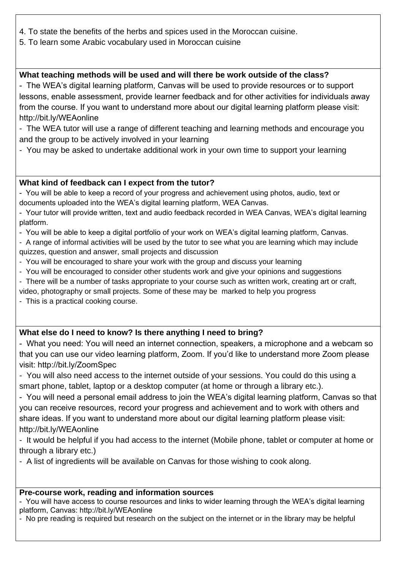- 4. To state the benefits of the herbs and spices used in the Moroccan cuisine.
- 5. To learn some Arabic vocabulary used in Moroccan cuisine

## **What teaching methods will be used and will there be work outside of the class?**

- The WEA's digital learning platform, Canvas will be used to provide resources or to support lessons, enable assessment, provide learner feedback and for other activities for individuals away from the course. If you want to understand more about our digital learning platform please visit: http://bit.ly/WEAonline

- The WEA tutor will use a range of different teaching and learning methods and encourage you and the group to be actively involved in your learning

- You may be asked to undertake additional work in your own time to support your learning

#### **What kind of feedback can I expect from the tutor?**

- You will be able to keep a record of your progress and achievement using photos, audio, text or documents uploaded into the WEA's digital learning platform, WEA Canvas.

- Your tutor will provide written, text and audio feedback recorded in WEA Canvas, WEA's digital learning platform.

- You will be able to keep a digital portfolio of your work on WEA's digital learning platform, Canvas.

- A range of informal activities will be used by the tutor to see what you are learning which may include quizzes, question and answer, small projects and discussion

- You will be encouraged to share your work with the group and discuss your learning
- You will be encouraged to consider other students work and give your opinions and suggestions
- There will be a number of tasks appropriate to your course such as written work, creating art or craft,
- video, photography or small projects. Some of these may be marked to help you progress
- This is a practical cooking course.

## **What else do I need to know? Is there anything I need to bring?**

- What you need: You will need an internet connection, speakers, a microphone and a webcam so that you can use our video learning platform, Zoom. If you'd like to understand more Zoom please visit: http://bit.ly/ZoomSpec

- You will also need access to the internet outside of your sessions. You could do this using a smart phone, tablet, laptop or a desktop computer (at home or through a library etc.).

- You will need a personal email address to join the WEA's digital learning platform, Canvas so that you can receive resources, record your progress and achievement and to work with others and share ideas. If you want to understand more about our digital learning platform please visit: http://bit.ly/WEAonline

- It would be helpful if you had access to the internet (Mobile phone, tablet or computer at home or through a library etc.)

- A list of ingredients will be available on Canvas for those wishing to cook along.

#### **Pre-course work, reading and information sources**

- You will have access to course resources and links to wider learning through the WEA's digital learning platform, Canvas: http://bit.ly/WEAonline

- No pre reading is required but research on the subject on the internet or in the library may be helpful